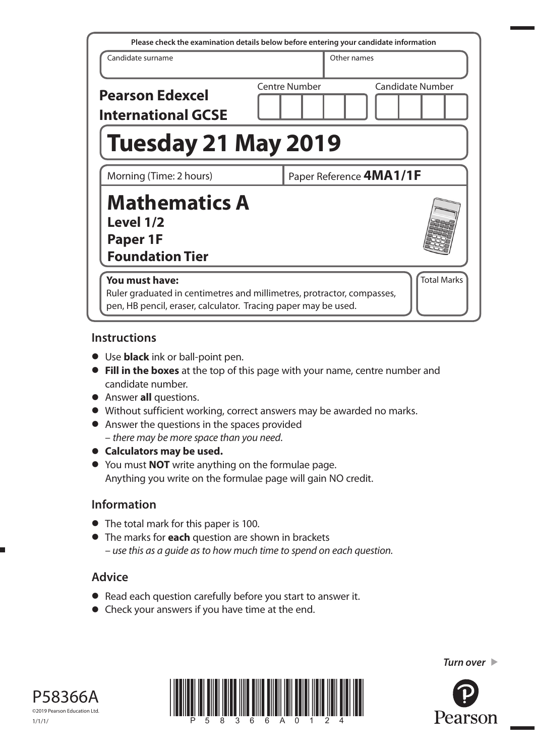|                                                                                                                                                            | Please check the examination details below before entering your candidate information |                         |
|------------------------------------------------------------------------------------------------------------------------------------------------------------|---------------------------------------------------------------------------------------|-------------------------|
| Candidate surname                                                                                                                                          | Other names                                                                           |                         |
| <b>Pearson Edexcel</b><br><b>International GCSE</b>                                                                                                        | <b>Centre Number</b>                                                                  | <b>Candidate Number</b> |
| <b>Tuesday 21 May 2019</b>                                                                                                                                 |                                                                                       |                         |
| Morning (Time: 2 hours)                                                                                                                                    | Paper Reference 4MA1/1F                                                               |                         |
| <b>Mathematics A</b><br>Level 1/2<br>Paper 1F<br><b>Foundation Tier</b>                                                                                    |                                                                                       |                         |
| You must have:<br>Ruler graduated in centimetres and millimetres, protractor, compasses,<br>pen, HB pencil, eraser, calculator. Tracing paper may be used. |                                                                                       | <b>Total Marks</b>      |

### **Instructions**

- Use **black** ink or ball-point pen.
- **Fill in the boxes** at the top of this page with your name, centre number and candidate number.
- Answer **all** questions.
- Without sufficient working, correct answers may be awarded no marks.
- Answer the questions in the spaces provided – there may be more space than you need.
- **Calculators may be used.**
- You must **NOT** write anything on the formulae page. Anything you write on the formulae page will gain NO credit.

## **Information**

- The total mark for this paper is 100.
- The marks for **each** question are shown in brackets – use this as a guide as to how much time to spend on each question.

# **Advice**

- Read each question carefully before you start to answer it.
- Check your answers if you have time at the end.





*Turn over* 

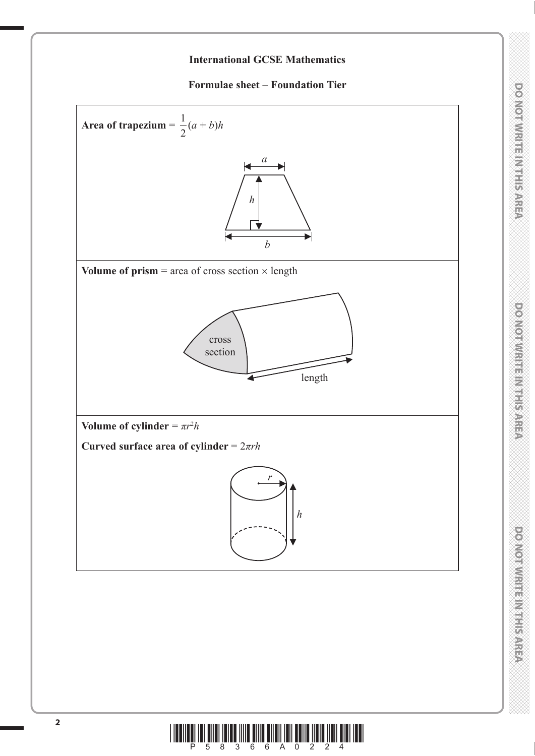#### **International GCSE Mathematics**

#### **Formulae sheet – Foundation Tier**





DO NOT WRITE IN THIS AREA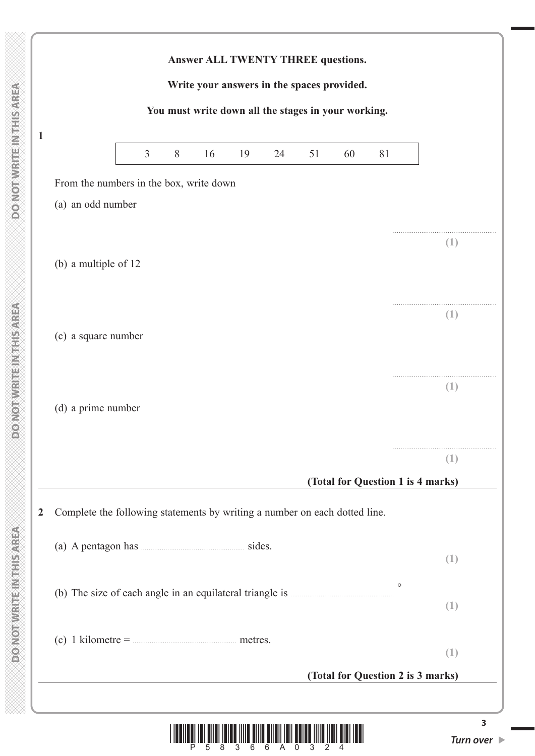|                                                                                                                 |                |   |    | Write your answers in the spaces provided.          |    |    |    |                                   |          |
|-----------------------------------------------------------------------------------------------------------------|----------------|---|----|-----------------------------------------------------|----|----|----|-----------------------------------|----------|
|                                                                                                                 |                |   |    | You must write down all the stages in your working. |    |    |    |                                   |          |
|                                                                                                                 | $\overline{3}$ | 8 | 16 | 19                                                  | 24 | 51 | 60 | 81                                |          |
| From the numbers in the box, write down                                                                         |                |   |    |                                                     |    |    |    |                                   |          |
| (a) an odd number                                                                                               |                |   |    |                                                     |    |    |    |                                   |          |
|                                                                                                                 |                |   |    |                                                     |    |    |    |                                   | $(\bot)$ |
| (b) a multiple of 12                                                                                            |                |   |    |                                                     |    |    |    |                                   |          |
|                                                                                                                 |                |   |    |                                                     |    |    |    |                                   | (1)      |
| (c) a square number                                                                                             |                |   |    |                                                     |    |    |    |                                   |          |
|                                                                                                                 |                |   |    |                                                     |    |    |    |                                   | (1)      |
| (d) a prime number                                                                                              |                |   |    |                                                     |    |    |    |                                   |          |
|                                                                                                                 |                |   |    |                                                     |    |    |    |                                   | (1)      |
|                                                                                                                 |                |   |    |                                                     |    |    |    | (Total for Question 1 is 4 marks) |          |
| Complete the following statements by writing a number on each dotted line.                                      |                |   |    |                                                     |    |    |    |                                   |          |
| (a) A pentagon has <b>manufactured</b> existes.                                                                 |                |   |    |                                                     |    |    |    |                                   |          |
|                                                                                                                 |                |   |    |                                                     |    |    |    | $\circ$                           | (1)      |
| (b) The size of each angle in an equilateral triangle is <b>manufacture</b> of each angle is <b>manufacture</b> |                |   |    |                                                     |    |    |    |                                   | (1)      |
|                                                                                                                 |                |   |    |                                                     |    |    |    |                                   | (1)      |
|                                                                                                                 |                |   |    |                                                     |    |    |    |                                   |          |

 **DO NOT WRITE IN THIS AREA DO NOT WRITE IN THIS AREA DO NOT WRITE IN THIS AREA DO NOT WRITE IN THIS AREA DO NOT WRITE IN THIS AREA DO NOT WRITE IN THIS AREA DO NOT WRITE IN THIS AREA DO NOT WRITE IN THIS AREA DO NOT WRITE** 

**ASSASSMENT MANON CONCOR** 

DO NOTWATE IN THIS AREA

DO NOT WRITE IN THIS AREA

**3**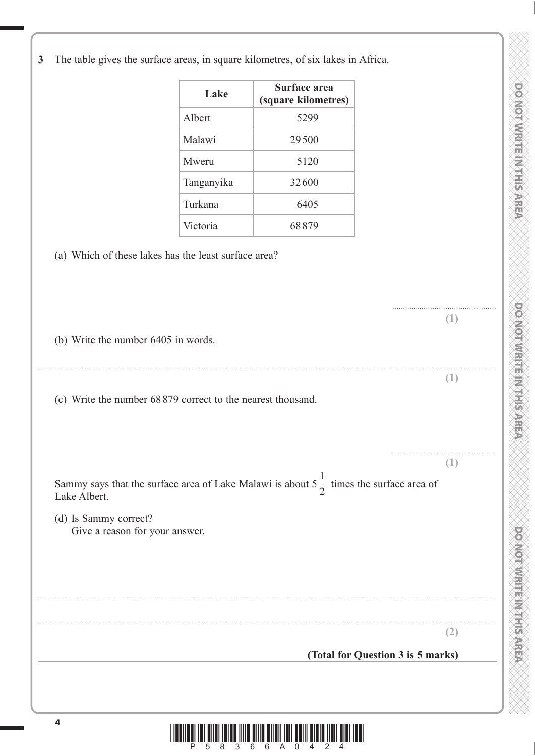**3** The table gives the surface areas, in square kilometres, of six lakes in Africa.

| Lake       | Surface area<br>(square kilometres) |
|------------|-------------------------------------|
| Albert     | 5299                                |
| Malawi     | 29500                               |
| Mweru      | 5120                                |
| Tanganyika | 32600                               |
| Turkana    | 6405                                |
| Victoria   | 68879                               |

- (a) Which of these lakes has the least surface area?
- (b) Write the number 6405 in words. ................................................................................................................................................................................................................................................... (c) Write the number 68 879 correct to the nearest thousand. 1

 Sammy says that the surface area of Lake Malawi is about 5  $\frac{1}{2}$  times the surface area of Lake Albert.

 (d) Is Sammy correct? Give a reason for your answer.

**(Total for Question 3 is 5 marks)**

....................................................... **(1)**

**(1)**

....................................................... **(1)**

**(2)**





...................................................................................................................................................................................................................................................

...................................................................................................................................................................................................................................................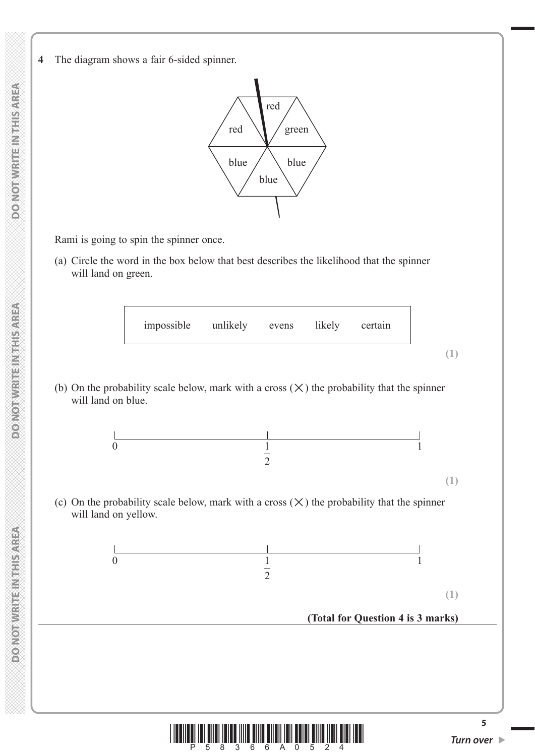**4** The diagram shows a fair 6-sided spinner.



Rami is going to spin the spinner once.

 (a) Circle the word in the box below that best describes the likelihood that the spinner will land on green.



(b) On the probability scale below, mark with a cross  $(X)$  the probability that the spinner will land on blue.



(c) On the probability scale below, mark with a cross  $(X)$  the probability that the spinner will land on yellow.





**5**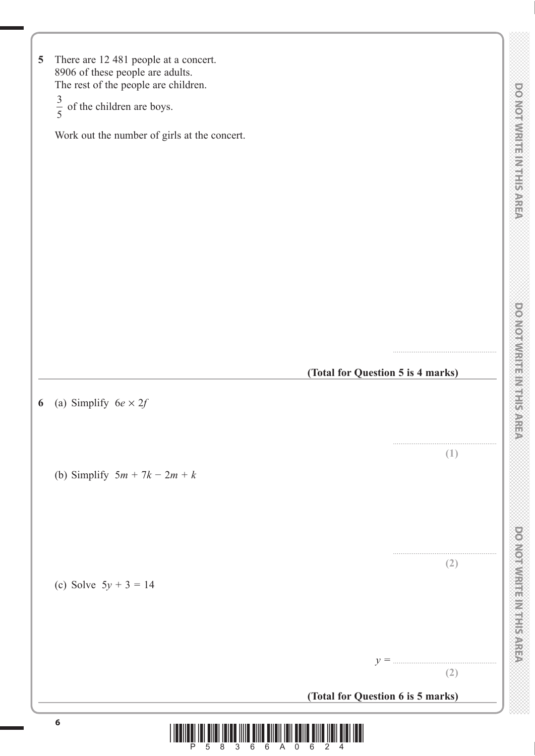| The rest of the people are children.<br>$\frac{3}{5}$<br>of the children are boys.<br>Work out the number of girls at the concert. |                                   |
|------------------------------------------------------------------------------------------------------------------------------------|-----------------------------------|
|                                                                                                                                    |                                   |
|                                                                                                                                    |                                   |
|                                                                                                                                    |                                   |
|                                                                                                                                    |                                   |
|                                                                                                                                    |                                   |
|                                                                                                                                    |                                   |
|                                                                                                                                    |                                   |
|                                                                                                                                    |                                   |
|                                                                                                                                    |                                   |
|                                                                                                                                    |                                   |
|                                                                                                                                    |                                   |
|                                                                                                                                    |                                   |
|                                                                                                                                    |                                   |
|                                                                                                                                    | (Total for Question 5 is 4 marks) |
| (a) Simplify $6e \times 2f$<br>6                                                                                                   |                                   |
|                                                                                                                                    |                                   |
|                                                                                                                                    |                                   |
|                                                                                                                                    | (1)                               |
| (b) Simplify $5m + 7k - 2m + k$                                                                                                    |                                   |
|                                                                                                                                    |                                   |
|                                                                                                                                    |                                   |
|                                                                                                                                    |                                   |
|                                                                                                                                    | (2)                               |
| (c) Solve $5y + 3 = 14$                                                                                                            |                                   |
|                                                                                                                                    |                                   |
|                                                                                                                                    |                                   |
|                                                                                                                                    |                                   |
|                                                                                                                                    | (2)                               |

 $\overline{1}$ 

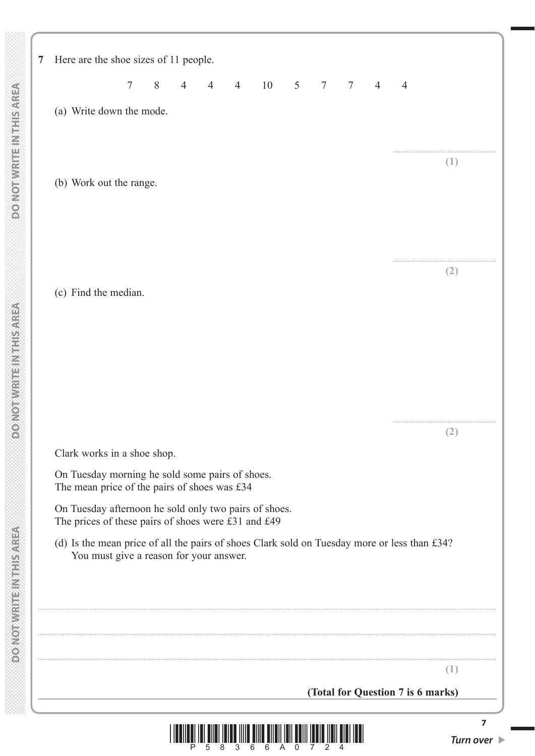| Here are the shoe sizes of 11 people.                                                                                                   |                |   |                |                |                |               |                 |                 |                |                |     |
|-----------------------------------------------------------------------------------------------------------------------------------------|----------------|---|----------------|----------------|----------------|---------------|-----------------|-----------------|----------------|----------------|-----|
|                                                                                                                                         | $\overline{7}$ | 8 | $\overline{4}$ | $\overline{4}$ | $\overline{4}$ | $10 \qquad 5$ | $7\overline{ }$ | $7\phantom{.0}$ | $\overline{4}$ | $\overline{4}$ |     |
| (a) Write down the mode.                                                                                                                |                |   |                |                |                |               |                 |                 |                |                |     |
|                                                                                                                                         |                |   |                |                |                |               |                 |                 |                |                |     |
|                                                                                                                                         |                |   |                |                |                |               |                 |                 |                |                | (1) |
| (b) Work out the range.                                                                                                                 |                |   |                |                |                |               |                 |                 |                |                |     |
|                                                                                                                                         |                |   |                |                |                |               |                 |                 |                |                |     |
|                                                                                                                                         |                |   |                |                |                |               |                 |                 |                |                |     |
|                                                                                                                                         |                |   |                |                |                |               |                 |                 |                |                |     |
| (c) Find the median.                                                                                                                    |                |   |                |                |                |               |                 |                 |                |                | (2) |
|                                                                                                                                         |                |   |                |                |                |               |                 |                 |                |                |     |
|                                                                                                                                         |                |   |                |                |                |               |                 |                 |                |                |     |
|                                                                                                                                         |                |   |                |                |                |               |                 |                 |                |                |     |
|                                                                                                                                         |                |   |                |                |                |               |                 |                 |                |                |     |
|                                                                                                                                         |                |   |                |                |                |               |                 |                 |                |                |     |
|                                                                                                                                         |                |   |                |                |                |               |                 |                 |                |                | (2) |
| Clark works in a shoe shop.                                                                                                             |                |   |                |                |                |               |                 |                 |                |                |     |
| On Tuesday morning he sold some pairs of shoes.<br>The mean price of the pairs of shoes was £34                                         |                |   |                |                |                |               |                 |                 |                |                |     |
| On Tuesday afternoon he sold only two pairs of shoes.<br>The prices of these pairs of shoes were £31 and £49                            |                |   |                |                |                |               |                 |                 |                |                |     |
| (d) Is the mean price of all the pairs of shoes Clark sold on Tuesday more or less than £34?<br>You must give a reason for your answer. |                |   |                |                |                |               |                 |                 |                |                |     |
|                                                                                                                                         |                |   |                |                |                |               |                 |                 |                |                |     |
|                                                                                                                                         |                |   |                |                |                |               |                 |                 |                |                |     |
|                                                                                                                                         |                |   |                |                |                |               |                 |                 |                |                |     |
|                                                                                                                                         |                |   |                |                |                |               |                 |                 |                |                |     |
|                                                                                                                                         |                |   |                |                |                |               |                 |                 |                |                | (1) |



**PONOTWEITEINTHIS AREA** 

**PONOTWRITE INTHIS AREA**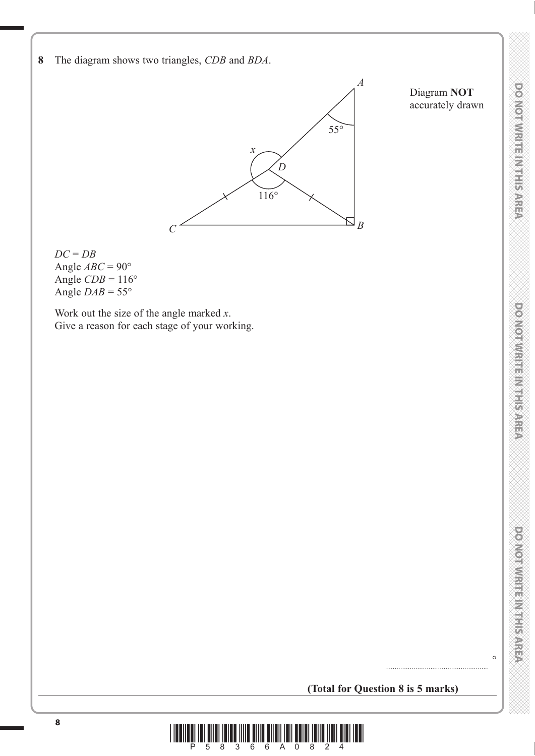$\circ$ 





Diagram **NOT** accurately drawn

*DC* = *DB* Angle  $ABC = 90^\circ$ Angle  $CDB = 116^\circ$ Angle  $DAB = 55^\circ$ 

 Work out the size of the angle marked *x*. Give a reason for each stage of your working.

**(Total for Question 8 is 5 marks)**

.......................................................

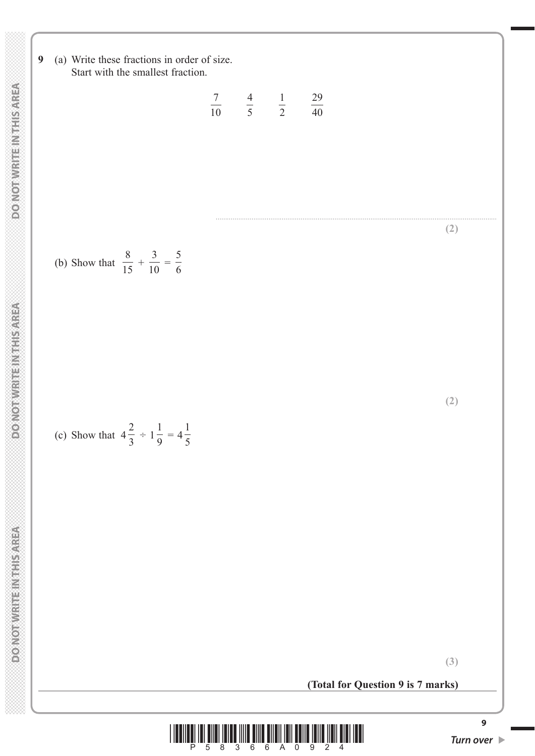| $\boldsymbol{9}$ | (a) Write these fractions in order of size.<br>Start with the smallest fraction. |                                                            |                                   |              |
|------------------|----------------------------------------------------------------------------------|------------------------------------------------------------|-----------------------------------|--------------|
|                  |                                                                                  | $\frac{7}{10}$ $\frac{4}{5}$ $\frac{1}{2}$ $\frac{29}{40}$ |                                   |              |
|                  |                                                                                  |                                                            |                                   |              |
|                  |                                                                                  |                                                            |                                   |              |
|                  |                                                                                  |                                                            |                                   | (2)          |
|                  | (b) Show that $\frac{8}{15} + \frac{3}{10} = \frac{5}{6}$                        |                                                            |                                   |              |
|                  |                                                                                  |                                                            |                                   |              |
|                  |                                                                                  |                                                            |                                   |              |
|                  |                                                                                  |                                                            |                                   | (2)          |
|                  | (c) Show that $4\frac{2}{3} \div 1\frac{1}{9} = 4\frac{1}{5}$                    |                                                            |                                   |              |
|                  |                                                                                  |                                                            |                                   |              |
|                  |                                                                                  |                                                            |                                   |              |
|                  |                                                                                  |                                                            |                                   |              |
|                  |                                                                                  |                                                            |                                   |              |
|                  |                                                                                  |                                                            |                                   | (3)          |
|                  |                                                                                  |                                                            | (Total for Question 9 is 7 marks) |              |
|                  |                                                                                  |                                                            |                                   | $\mathbf{9}$ |



**ASSIVED MEDIATION ON ORIGIN** 

**RESISTED MARKED MARKED**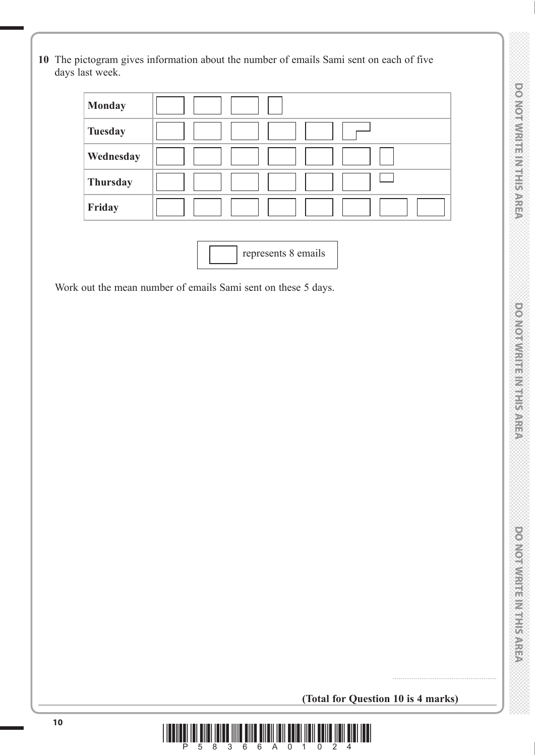**10** The pictogram gives information about the number of emails Sami sent on each of five days last week.

| <b>Monday</b>   |  |
|-----------------|--|
| <b>Tuesday</b>  |  |
| Wednesday       |  |
| <b>Thursday</b> |  |
| Friday          |  |

| represents 8 emails |  |
|---------------------|--|
|---------------------|--|

Work out the mean number of emails Sami sent on these 5 days.

 **DO NOT WRITE IN THE IN THIS AREA DO NOT WRITE IN THIS AREA DO NOT WRITE IN THIS AREA DO NOT WRITE IN THIS AREA DO NOT WRITE IN THE INTERNATIONAL CONTINUES. THE INTERNATIONAL CONTINUES. DOMOTWRITEIN FIRE AREA** 

DO NOT WRITE IN THIS AREA

**(Total for Question 10 is 4 marks)**

.......................................................

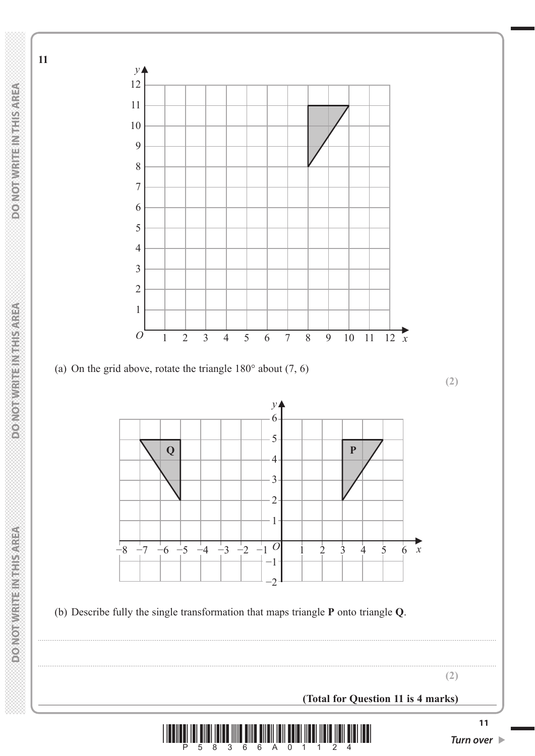



**11**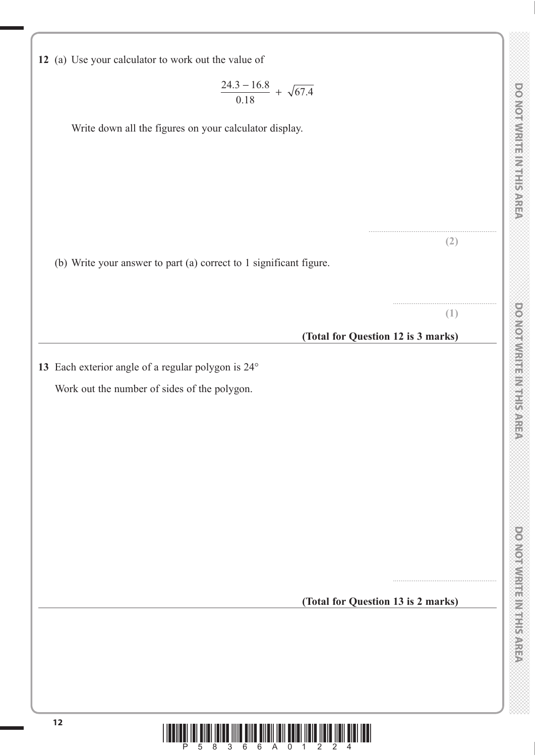

**<sup>12</sup>** \*P58366A01224\*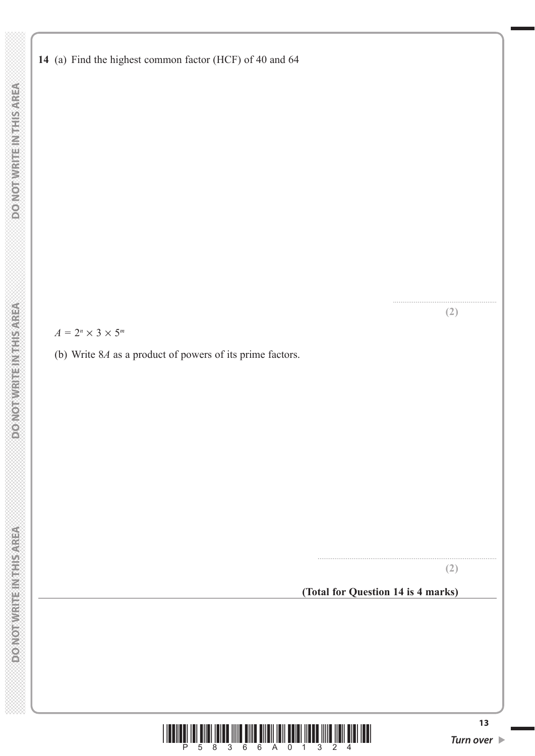**14** (a) Find the highest common factor (HCF) of 40 and 64

....................................................... **(2)**

#### $A = 2^n \times 3 \times 5^m$

(b) Write 8*A* as a product of powers of its prime factors.

**(2)**

## **(Total for Question 14 is 4 marks)**

...............................................................................................

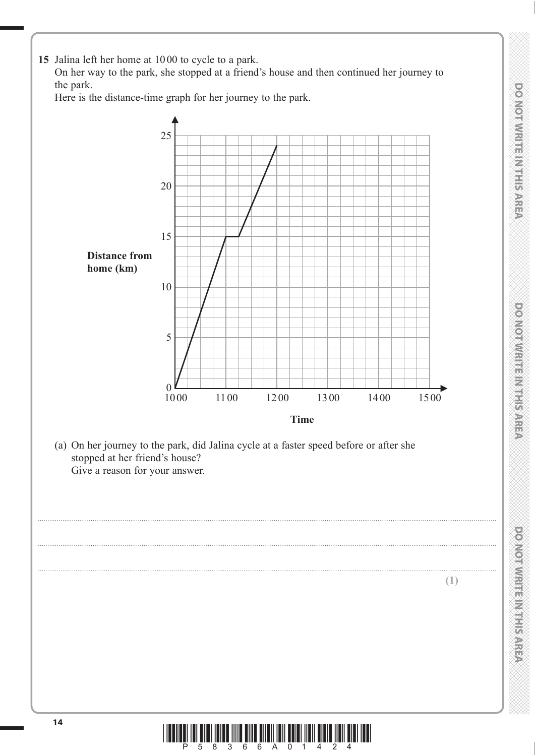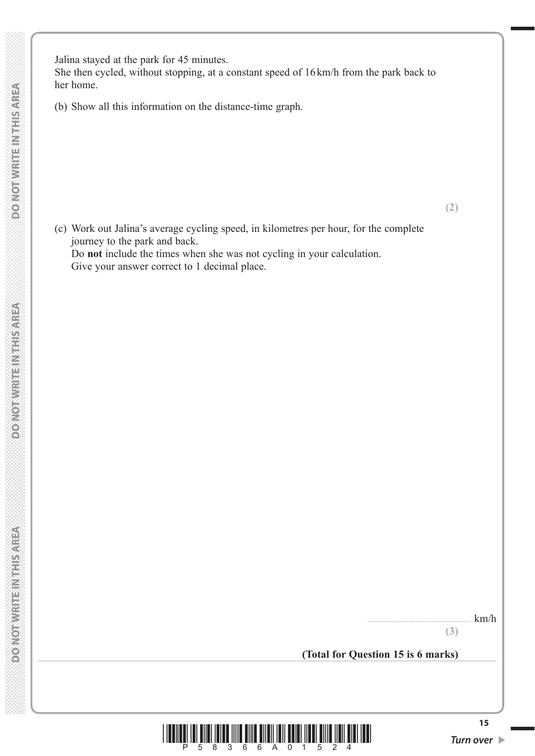She then cycled, without stopping, at a constant speed of 16 km/h from the park back to her home.

(b) Show all this information on the distance-time graph.

 (c) Work out Jalina's average cycling speed, in kilometres per hour, for the complete journey to the park and back.

 Do **not** include the times when she was not cycling in your calculation. Give your answer correct to 1 decimal place.

|  | km/n |
|--|------|
|  |      |

**(3)**

**(2)**

**(Total for Question 15 is 6 marks)**

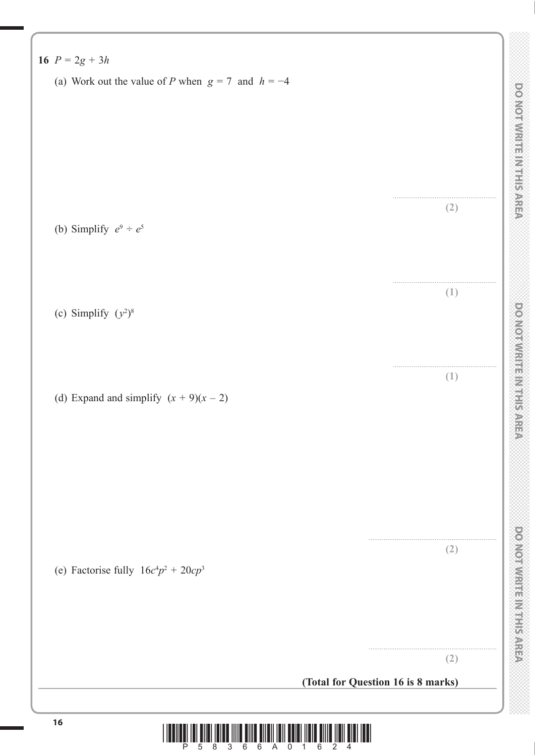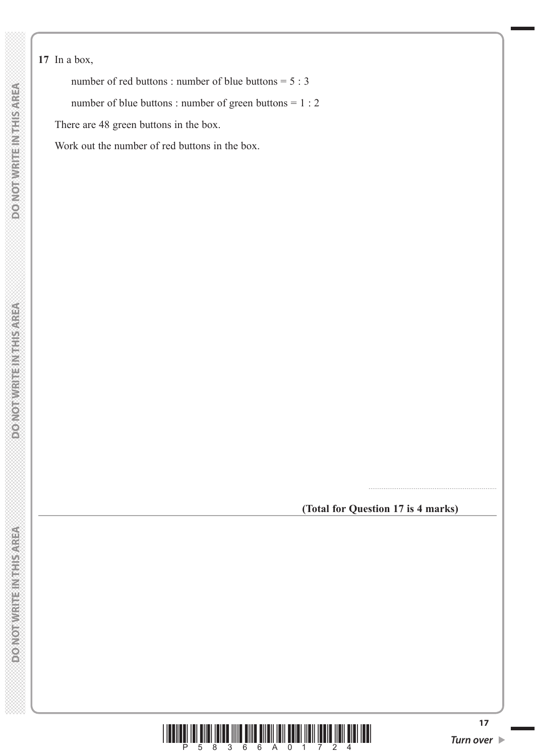**DOMOT WRITEIN THIS AREA** 

 **DO NOT WRITE IN THIS AREA DO NOT WRITE IN THIS AREA DO NOT WRITE IN THIS AREA DO NOT WRITE IN THIS AREA DO NOT WRITE IN THIS AREA DO NOT WRITE IN THIS AREA DO NOT WRITE IN THIS AREA DO NOT WRITE IN THIS AREA DO NOT WRITE DO NOT WRITEIN THIS AREA**  **17** In a box,

number of red buttons : number of blue buttons = 5 : 3

number of blue buttons : number of green buttons = 1 : 2

There are 48 green buttons in the box.

Work out the number of red buttons in the box.

**(Total for Question 17 is 4 marks)**

....................................................................

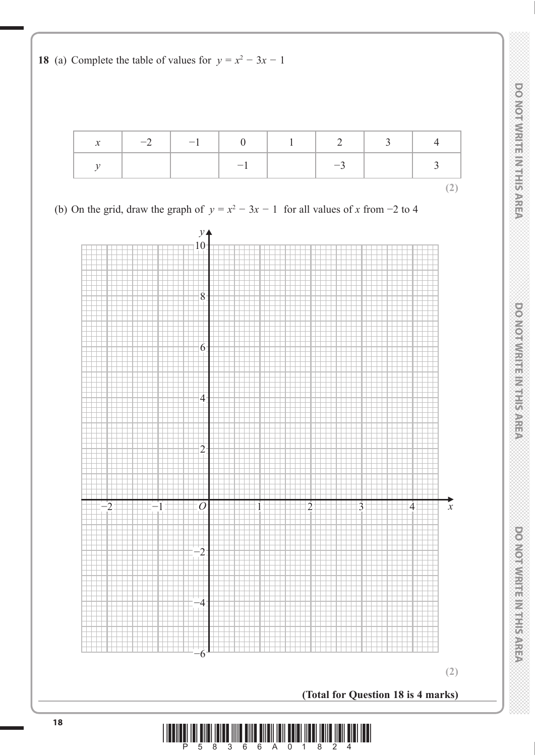

DO NOT WRITE IN THIS AREA

**THIS AREA DO NOT WRITE IN THIS AREA DO NOT WRITE IN THIS AREA DO NOT WRITE IN THIS AREA DO NOT WRITE IN THIS AREA DO NOT WRITE IN THIS AREA DO NOT WRITE IN THE INTERNATIONAL CONTINUES. DONOINMENTERS**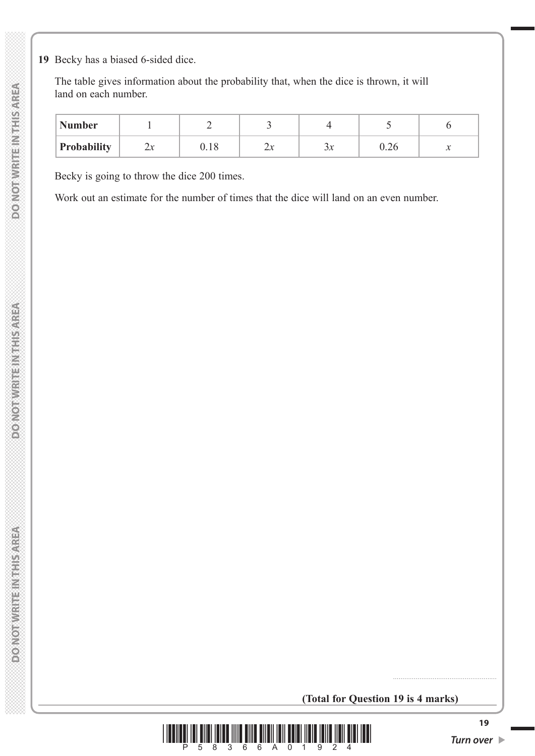**19** Becky has a biased 6-sided dice.

 The table gives information about the probability that, when the dice is thrown, it will land on each number.

| <b>Number</b> |           |        |    |    |     |                      |
|---------------|-----------|--------|----|----|-----|----------------------|
| Probability   | ,,,<br>∽∼ | v. 1 o | ∠~ | Sλ | V.L | $\ddot{\phantom{0}}$ |

Becky is going to throw the dice 200 times.

Work out an estimate for the number of times that the dice will land on an even number.

**(Total for Question 19 is 4 marks)**



.......................................................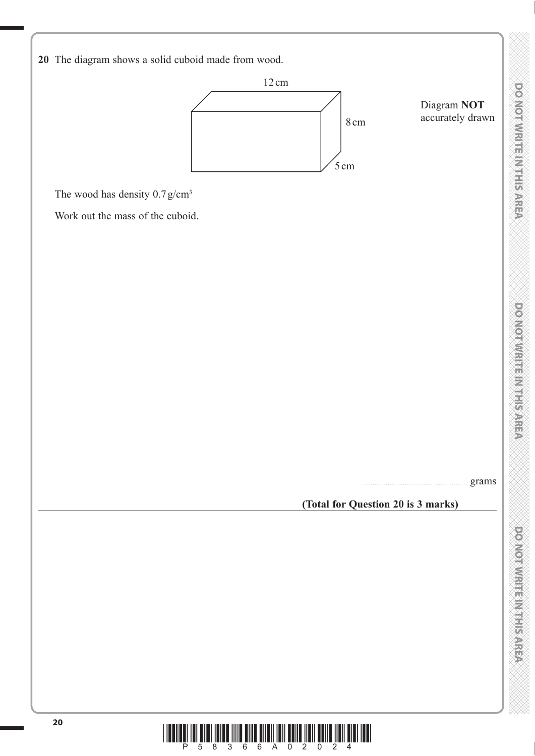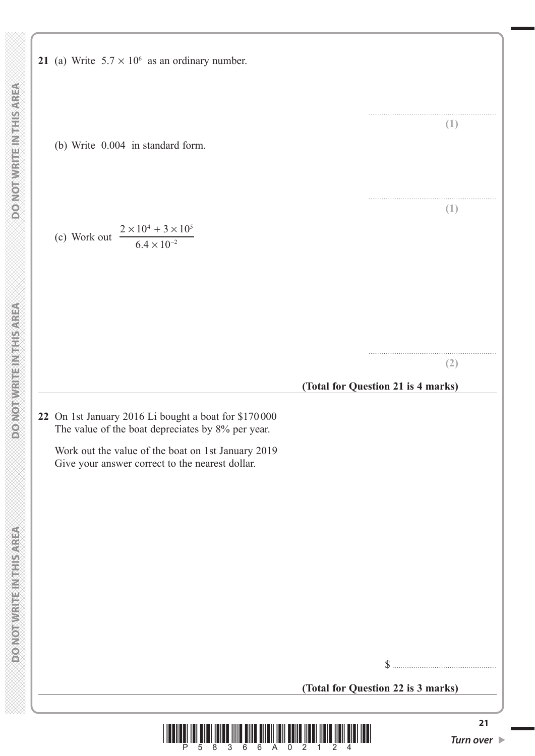**21** (a) Write  $5.7 \times 10^6$  as an ordinary number.

(b) Write 0.004 in standard form.

 (c) Work out  $2 \times 10^4 + 3 \times 10^1$  $\overline{6.4 \times 10}$  $4 + 2 \times 10^5$  $\overline{2}$  $\times 10^4 + 3 \times$  $.4 \times 10^{-7}$ 

**(2)**

....................................................................

....................................................................

....................................................................

**(1)**

**(1)**

**(Total for Question 21 is 4 marks)**

#### **22** On 1st January 2016 Li bought a boat for \$170 000 The value of the boat depreciates by 8% per year.

 Work out the value of the boat on 1st January 2019 Give your answer correct to the nearest dollar.

**(Total for Question 22 is 3 marks)**

\$ .......................................................

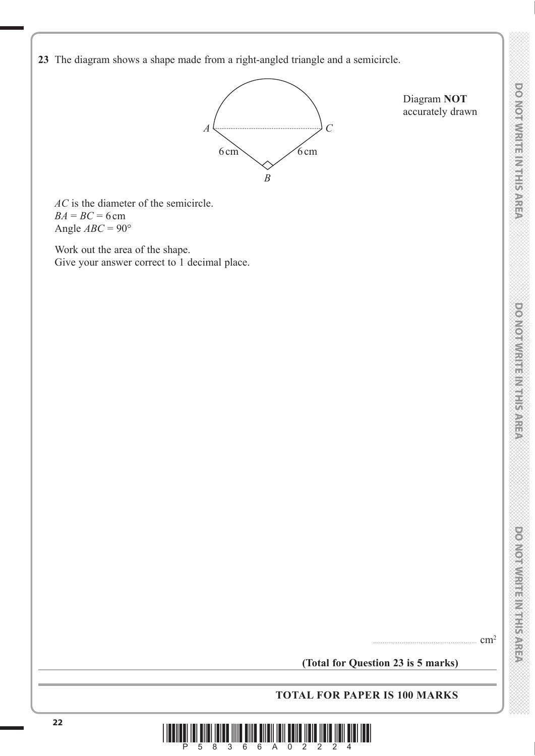....................................................... cm2

**23** The diagram shows a shape made from a right-angled triangle and a semicircle.



Diagram **NOT** accurately drawn

*AC* is the diameter of the semicircle.  $BA = BC = 6$  cm Angle  $ABC = 90^\circ$ 

 Work out the area of the shape. Give your answer correct to 1 decimal place.

**(Total for Question 23 is 5 marks)**

**TOTAL FOR PAPER IS 100 MARKS**

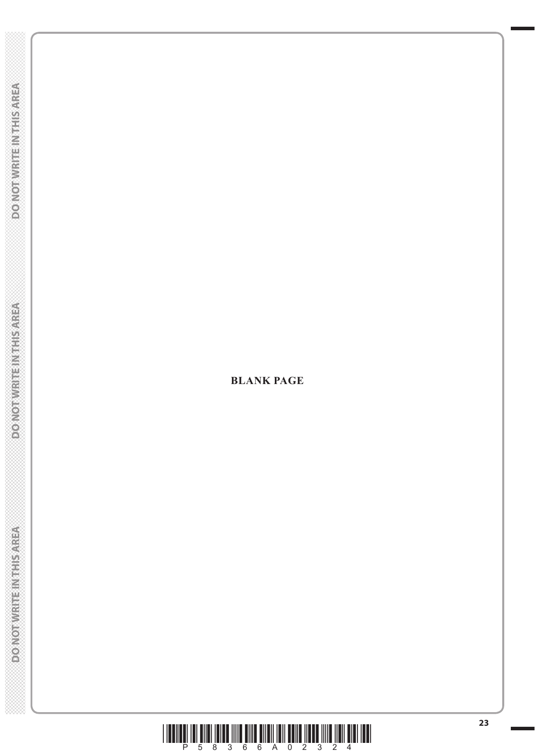**BLANK PAGE**